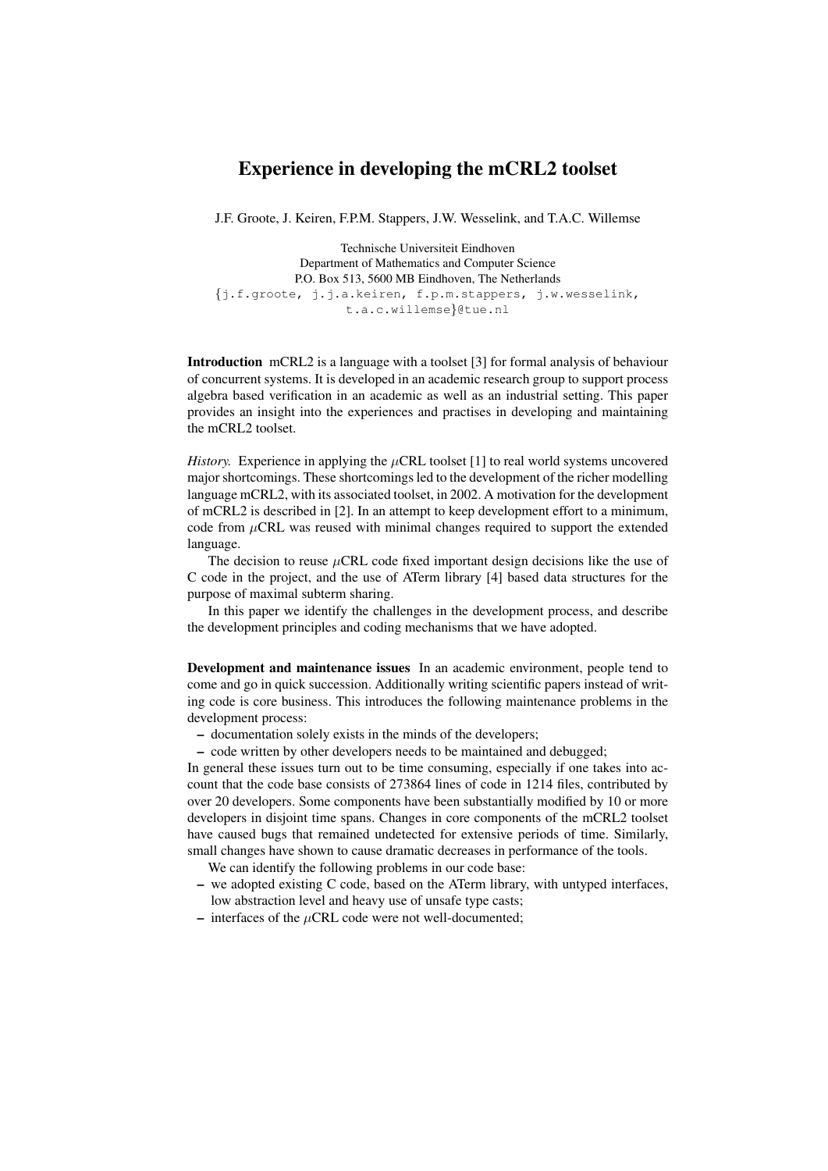## Experience in developing the mCRL2 toolset

J.F. Groote, J. Keiren, F.P.M. Stappers, J.W. Wesselink, and T.A.C. Willemse

Technische Universiteit Eindhoven Department of Mathematics and Computer Science P.O. Box 513, 5600 MB Eindhoven, The Netherlands {j.f.groote, j.j.a.keiren, f.p.m.stappers, j.w.wesselink, t.a.c.willemse}@tue.nl

Introduction mCRL2 is a language with a toolset [3] for formal analysis of behaviour of concurrent systems. It is developed in an academic research group to support process algebra based verification in an academic as well as an industrial setting. This paper provides an insight into the experiences and practises in developing and maintaining the mCRL2 toolset.

*History.* Experience in applying the  $\mu$ CRL toolset [1] to real world systems uncovered major shortcomings. These shortcomings led to the development of the richer modelling language mCRL2, with its associated toolset, in 2002. A motivation for the development of mCRL2 is described in [2]. In an attempt to keep development effort to a minimum, code from  $\mu$ CRL was reused with minimal changes required to support the extended language.

The decision to reuse  $\mu$ CRL code fixed important design decisions like the use of C code in the project, and the use of ATerm library [4] based data structures for the purpose of maximal subterm sharing.

In this paper we identify the challenges in the development process, and describe the development principles and coding mechanisms that we have adopted.

Development and maintenance issues In an academic environment, people tend to come and go in quick succession. Additionally writing scientific papers instead of writing code is core business. This introduces the following maintenance problems in the development process:

- documentation solely exists in the minds of the developers;
- code written by other developers needs to be maintained and debugged;

In general these issues turn out to be time consuming, especially if one takes into account that the code base consists of 273864 lines of code in 1214 files, contributed by over 20 developers. Some components have been substantially modified by 10 or more developers in disjoint time spans. Changes in core components of the mCRL2 toolset have caused bugs that remained undetected for extensive periods of time. Similarly, small changes have shown to cause dramatic decreases in performance of the tools.

We can identify the following problems in our code base:

- we adopted existing C code, based on the ATerm library, with untyped interfaces, low abstraction level and heavy use of unsafe type casts;
- $-$  interfaces of the  $\mu$ CRL code were not well-documented;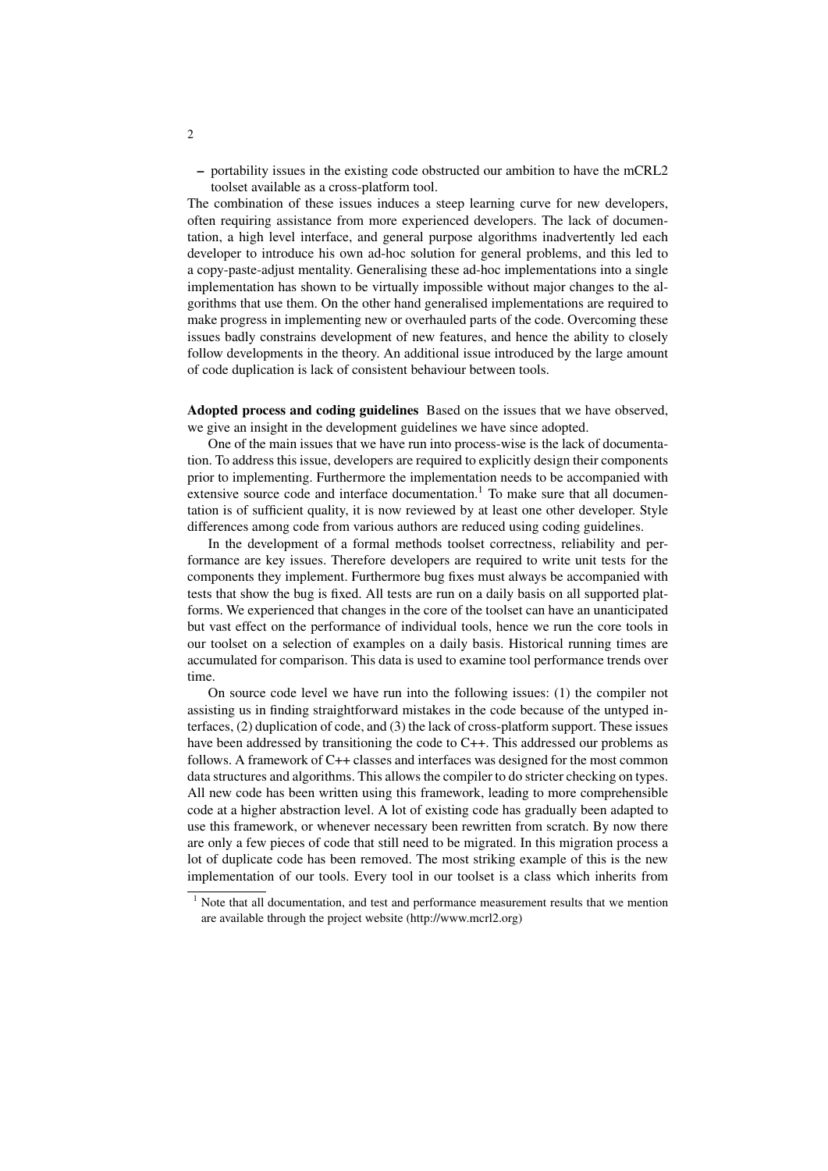– portability issues in the existing code obstructed our ambition to have the mCRL2 toolset available as a cross-platform tool.

The combination of these issues induces a steep learning curve for new developers, often requiring assistance from more experienced developers. The lack of documentation, a high level interface, and general purpose algorithms inadvertently led each developer to introduce his own ad-hoc solution for general problems, and this led to a copy-paste-adjust mentality. Generalising these ad-hoc implementations into a single implementation has shown to be virtually impossible without major changes to the algorithms that use them. On the other hand generalised implementations are required to make progress in implementing new or overhauled parts of the code. Overcoming these issues badly constrains development of new features, and hence the ability to closely follow developments in the theory. An additional issue introduced by the large amount of code duplication is lack of consistent behaviour between tools.

Adopted process and coding guidelines Based on the issues that we have observed, we give an insight in the development guidelines we have since adopted.

One of the main issues that we have run into process-wise is the lack of documentation. To address this issue, developers are required to explicitly design their components prior to implementing. Furthermore the implementation needs to be accompanied with extensive source code and interface documentation.<sup>1</sup> To make sure that all documentation is of sufficient quality, it is now reviewed by at least one other developer. Style differences among code from various authors are reduced using coding guidelines.

In the development of a formal methods toolset correctness, reliability and performance are key issues. Therefore developers are required to write unit tests for the components they implement. Furthermore bug fixes must always be accompanied with tests that show the bug is fixed. All tests are run on a daily basis on all supported platforms. We experienced that changes in the core of the toolset can have an unanticipated but vast effect on the performance of individual tools, hence we run the core tools in our toolset on a selection of examples on a daily basis. Historical running times are accumulated for comparison. This data is used to examine tool performance trends over time.

On source code level we have run into the following issues: (1) the compiler not assisting us in finding straightforward mistakes in the code because of the untyped interfaces, (2) duplication of code, and (3) the lack of cross-platform support. These issues have been addressed by transitioning the code to C++. This addressed our problems as follows. A framework of C++ classes and interfaces was designed for the most common data structures and algorithms. This allows the compiler to do stricter checking on types. All new code has been written using this framework, leading to more comprehensible code at a higher abstraction level. A lot of existing code has gradually been adapted to use this framework, or whenever necessary been rewritten from scratch. By now there are only a few pieces of code that still need to be migrated. In this migration process a lot of duplicate code has been removed. The most striking example of this is the new implementation of our tools. Every tool in our toolset is a class which inherits from

2

<sup>&</sup>lt;sup>1</sup> Note that all documentation, and test and performance measurement results that we mention are available through the project website (http://www.mcrl2.org)